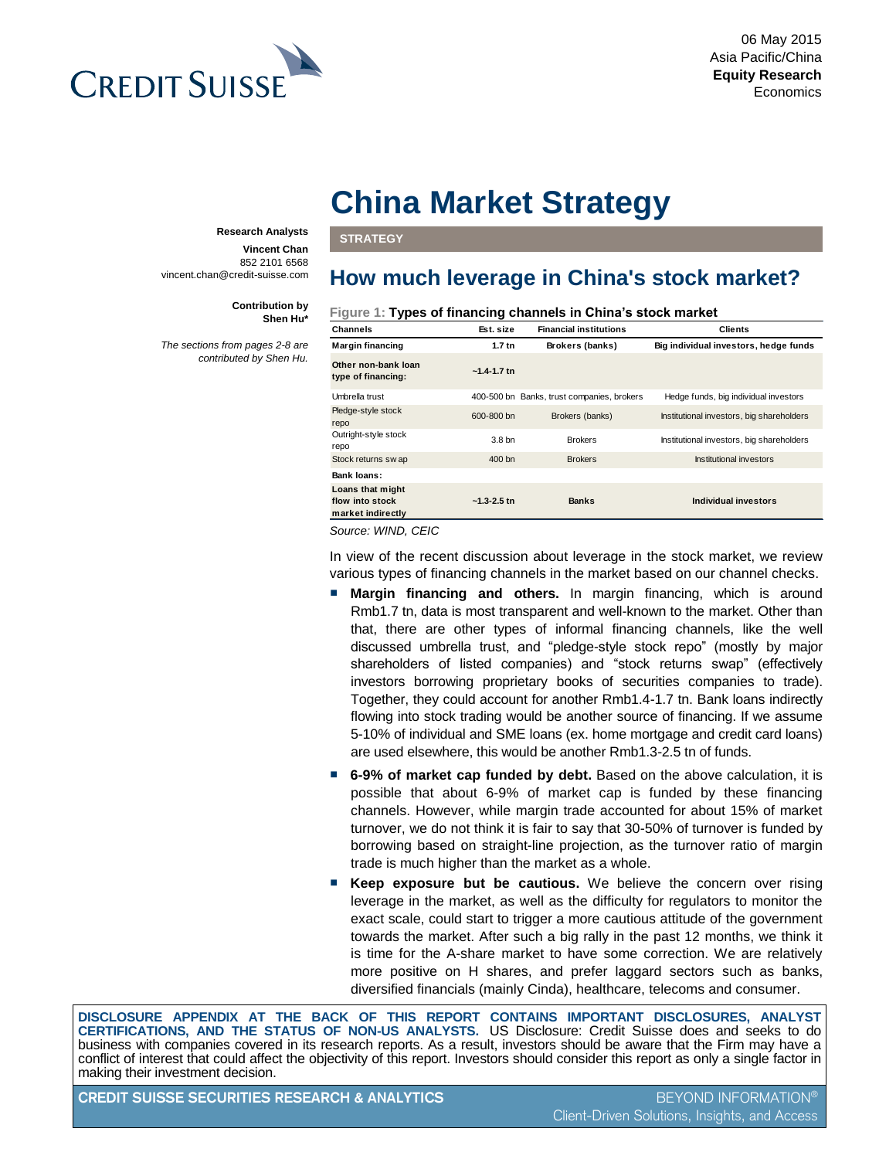

# **China Market Strategy**

**STRATEGY**

## **How much leverage in China's stock market?**

**Figure 1: Types of financing channels in China's stock market**

| Channels                                                 | Est. size       | <b>Financial institutions</b>              | <b>Clients</b>                            |
|----------------------------------------------------------|-----------------|--------------------------------------------|-------------------------------------------|
| Margin financing                                         | $1.7$ tn        | Brokers (banks)                            | Big individual investors, hedge funds     |
| Other non-bank loan<br>type of financing:                | $-1.4 - 1.7$ tn |                                            |                                           |
| Umbrella trust                                           |                 | 400-500 bn Banks, trust companies, brokers | Hedge funds, big individual investors     |
| Pledge-style stock<br>repo                               | 600-800 bn      | Brokers (banks)                            | Institutional investors, big shareholders |
| Outright-style stock<br>repo                             | 3.8 bn          | <b>Brokers</b>                             | Institutional investors, big shareholders |
| Stock returns sw ap                                      | 400 bn          | <b>Brokers</b>                             | Institutional investors                   |
| <b>Bank loans:</b>                                       |                 |                                            |                                           |
| Loans that might<br>flow into stock<br>market indirectly | $-1.3 - 2.5$ tn | <b>Banks</b>                               | Individual investors                      |

*Source: WIND, CEIC*

In view of the recent discussion about leverage in the stock market, we review various types of financing channels in the market based on our channel checks.

- **Margin financing and others.** In margin financing, which is around Rmb1.7 tn, data is most transparent and well-known to the market. Other than that, there are other types of informal financing channels, like the well discussed umbrella trust, and "pledge-style stock repo" (mostly by major shareholders of listed companies) and "stock returns swap" (effectively investors borrowing proprietary books of securities companies to trade). Together, they could account for another Rmb1.4-1.7 tn. Bank loans indirectly flowing into stock trading would be another source of financing. If we assume 5-10% of individual and SME loans (ex. home mortgage and credit card loans) are used elsewhere, this would be another Rmb1.3-2.5 tn of funds.
- **6-9% of market cap funded by debt.** Based on the above calculation, it is possible that about 6-9% of market cap is funded by these financing channels. However, while margin trade accounted for about 15% of market turnover, we do not think it is fair to say that 30-50% of turnover is funded by borrowing based on straight-line projection, as the turnover ratio of margin trade is much higher than the market as a whole.
- **Keep exposure but be cautious.** We believe the concern over rising leverage in the market, as well as the difficulty for regulators to monitor the exact scale, could start to trigger a more cautious attitude of the government towards the market. After such a big rally in the past 12 months, we think it is time for the A-share market to have some correction. We are relatively more positive on H shares, and prefer laggard sectors such as banks, diversified financials (mainly Cinda), healthcare, telecoms and consumer.

**DISCLOSURE APPENDIX AT THE BACK OF THIS REPORT CONTAINS IMPORTANT DISCLOSURES, ANALYST CERTIFICATIONS, AND THE STATUS OF NON-US ANALYSTS.** US Disclosure: Credit Suisse does and seeks to do business with companies covered in its research reports. As a result, investors should be aware that the Firm may have a conflict of interest that could affect the objectivity of this report. Investors should consider this report as only a single factor in making their investment decision.

**CREDIT SUISSE SECURITIES RESEARCH & ANALYTICS** BEYOND INFORMATION®

#### **Research Analysts**

**Vincent Chan** 852 2101 6568 vincent.chan@credit-suisse.com

> **Contribution by Shen Hu\***

*The sections from pages 2-8 are contributed by Shen Hu.*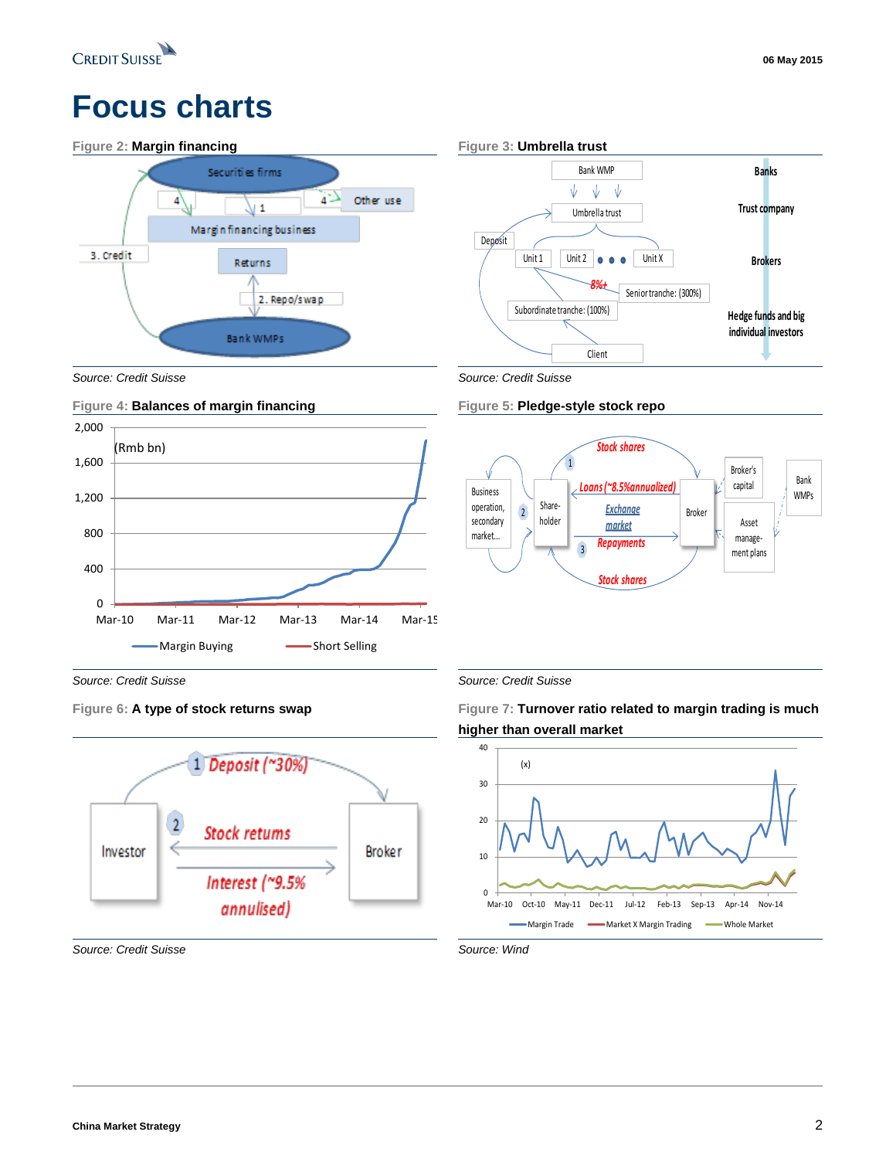

# **Focus charts**





*Source: Credit Suisse Source: Credit Suisse* 



*Source: Credit Suisse Source: Credit Suisse*



*Source: Credit Suisse Source: Wind*





**Figure 6: A type of stock returns swap Figure 7: Turnover ratio related to margin trading is much higher than overall market**

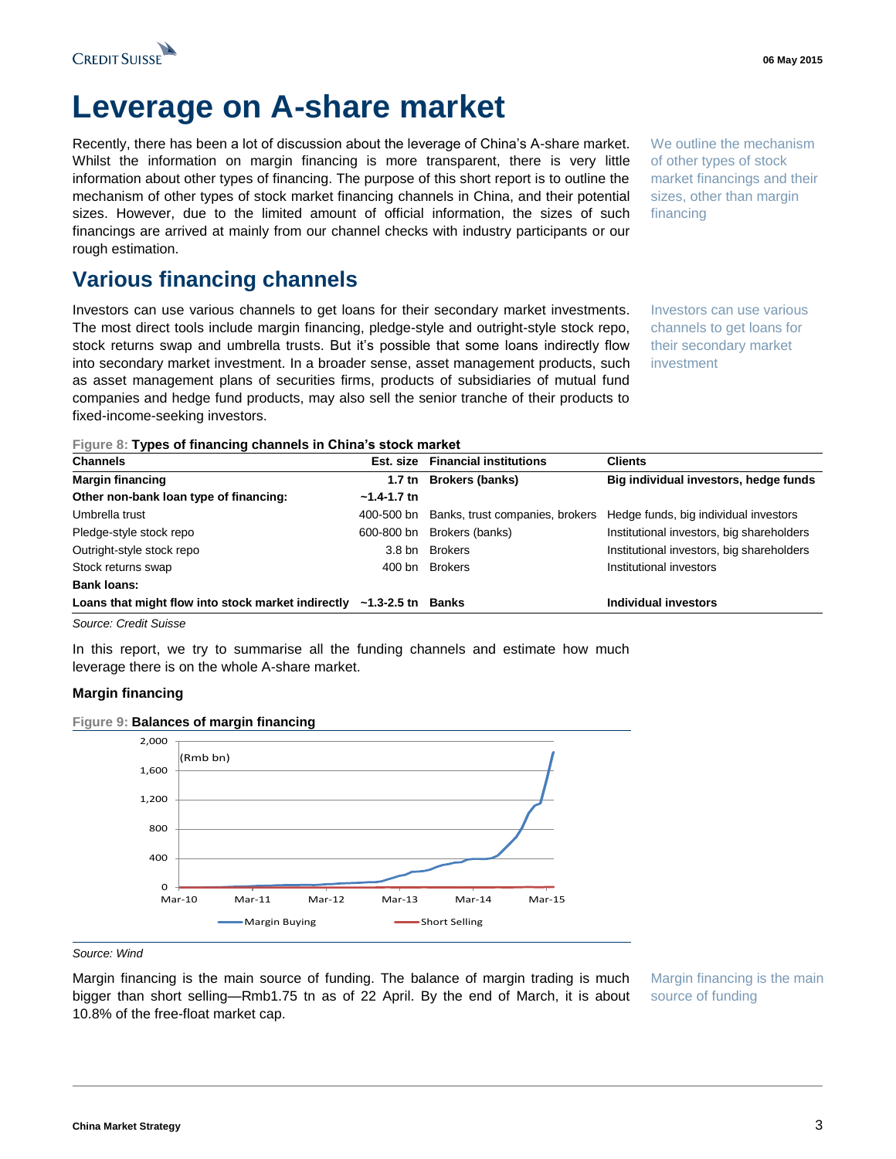

# **Leverage on A-share market**

Recently, there has been a lot of discussion about the leverage of China's A-share market. Whilst the information on margin financing is more transparent, there is very little information about other types of financing. The purpose of this short report is to outline the mechanism of other types of stock market financing channels in China, and their potential sizes. However, due to the limited amount of official information, the sizes of such financings are arrived at mainly from our channel checks with industry participants or our rough estimation.

## **Various financing channels**

Investors can use various channels to get loans for their secondary market investments. The most direct tools include margin financing, pledge-style and outright-style stock repo, stock returns swap and umbrella trusts. But it's possible that some loans indirectly flow into secondary market investment. In a broader sense, asset management products, such as asset management plans of securities firms, products of subsidiaries of mutual fund companies and hedge fund products, may also sell the senior tranche of their products to fixed-income-seeking investors.

We outline the mechanism of other types of stock market financings and their sizes, other than margin financing

Investors can use various channels to get loans for their secondary market investment

|  |  | Figure 8: Types of financing channels in China's stock market |  |  |
|--|--|---------------------------------------------------------------|--|--|
|  |  |                                                               |  |  |

| <b>Channels</b>                                                            |                 | Est. size Financial institutions | <b>Clients</b>                            |
|----------------------------------------------------------------------------|-----------------|----------------------------------|-------------------------------------------|
| <b>Margin financing</b>                                                    |                 | 1.7 tn Brokers (banks)           | Big individual investors, hedge funds     |
| Other non-bank loan type of financing:                                     | $-1.4 - 1.7$ tn |                                  |                                           |
| Umbrella trust                                                             | 400-500 bn      | Banks, trust companies, brokers  | Hedge funds, big individual investors     |
| Pledge-style stock repo                                                    | 600-800 bn      | Brokers (banks)                  | Institutional investors, big shareholders |
| Outright-style stock repo                                                  | 3.8 bn          | <b>Brokers</b>                   | Institutional investors, big shareholders |
| Stock returns swap                                                         |                 | 400 bn Brokers                   | Institutional investors                   |
| <b>Bank loans:</b>                                                         |                 |                                  |                                           |
| Loans that might flow into stock market indirectly $\sim$ 1.3-2.5 tn Banks |                 |                                  | Individual investors                      |

*Source: Credit Suisse*

In this report, we try to summarise all the funding channels and estimate how much leverage there is on the whole A-share market.

#### **Margin financing**



**Figure 9: Balances of margin financing**

Margin financing is the main source of funding. The balance of margin trading is much bigger than short selling—Rmb1.75 tn as of 22 April. By the end of March, it is about 10.8% of the free-float market cap.

Margin financing is the main source of funding

*Source: Wind*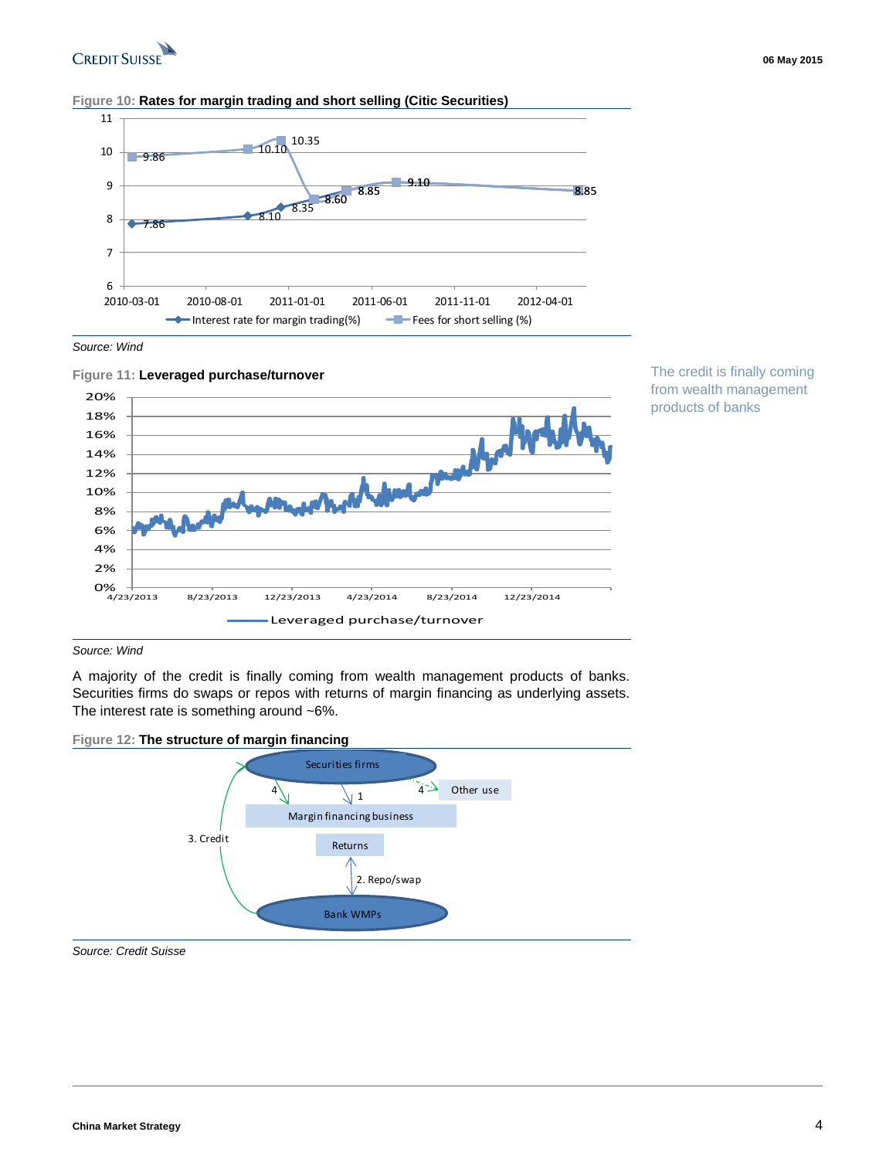

#### **Figure 10: Rates for margin trading and short selling (Citic Securities)**



*Source: Wind*



The credit is finally coming from wealth management products of banks

#### *Source: Wind*

A majority of the credit is finally coming from wealth management products of banks. Securities firms do swaps or repos with returns of margin financing as underlying assets. The interest rate is something around ~6%.



*Source: Credit Suisse*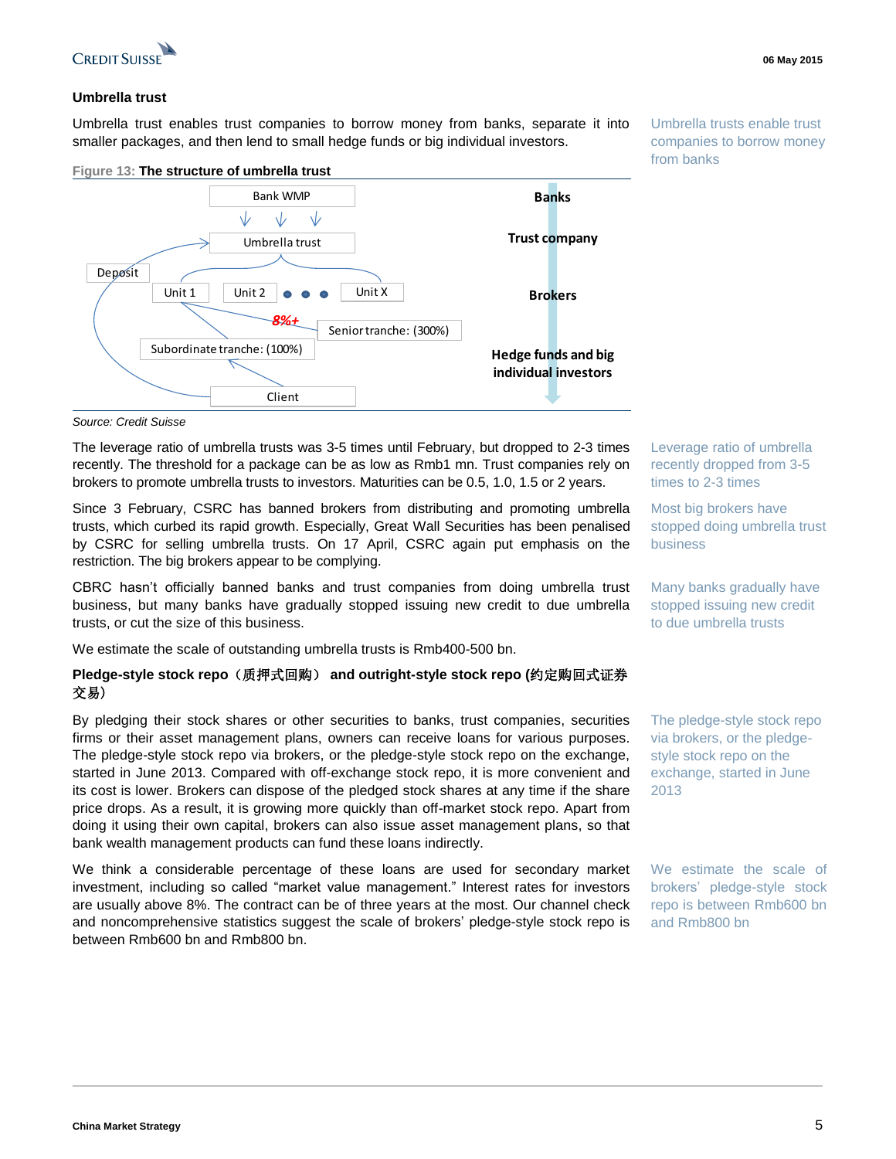

#### **06 May 2015**

#### **Umbrella trust**

Umbrella trust enables trust companies to borrow money from banks, separate it into smaller packages, and then lend to small hedge funds or big individual investors.

#### **Figure 13: The structure of umbrella trust**



Umbrella trusts enable trust companies to borrow money from banks

The leverage ratio of umbrella trusts was 3-5 times until February, but dropped to 2-3 times recently. The threshold for a package can be as low as Rmb1 mn. Trust companies rely on brokers to promote umbrella trusts to investors. Maturities can be 0.5, 1.0, 1.5 or 2 years.

Since 3 February, CSRC has banned brokers from distributing and promoting umbrella trusts, which curbed its rapid growth. Especially, Great Wall Securities has been penalised by CSRC for selling umbrella trusts. On 17 April, CSRC again put emphasis on the restriction. The big brokers appear to be complying.

CBRC hasn't officially banned banks and trust companies from doing umbrella trust business, but many banks have gradually stopped issuing new credit to due umbrella trusts, or cut the size of this business.

We estimate the scale of outstanding umbrella trusts is Rmb400-500 bn.

#### **Pledge-style stock repo**(质押式回购) **and outright-style stock repo (**约定购回式证券 交易)

By pledging their stock shares or other securities to banks, trust companies, securities firms or their asset management plans, owners can receive loans for various purposes. The pledge-style stock repo via brokers, or the pledge-style stock repo on the exchange, started in June 2013. Compared with off-exchange stock repo, it is more convenient and its cost is lower. Brokers can dispose of the pledged stock shares at any time if the share price drops. As a result, it is growing more quickly than off-market stock repo. Apart from doing it using their own capital, brokers can also issue asset management plans, so that bank wealth management products can fund these loans indirectly.

We think a considerable percentage of these loans are used for secondary market investment, including so called "market value management." Interest rates for investors are usually above 8%. The contract can be of three years at the most. Our channel check and noncomprehensive statistics suggest the scale of brokers' pledge-style stock repo is between Rmb600 bn and Rmb800 bn.

Leverage ratio of umbrella recently dropped from 3-5 times to 2-3 times

Most big brokers have stopped doing umbrella trust business

Many banks gradually have stopped issuing new credit to due umbrella trusts

The pledge-style stock repo via brokers, or the pledgestyle stock repo on the exchange, started in June 2013

We estimate the scale of brokers' pledge-style stock repo is between Rmb600 bn and Rmb800 bn

*Source: Credit Suisse*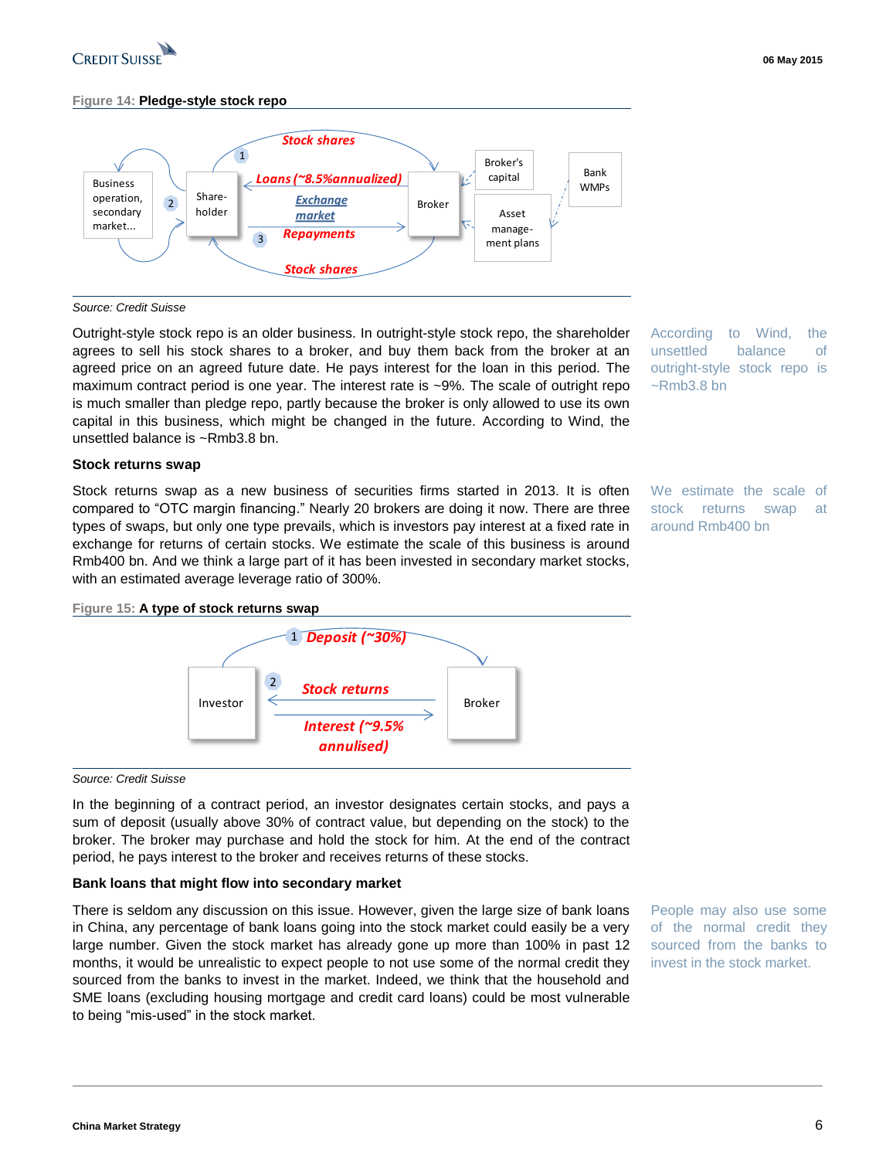

#### **Figure 14: Pledge-style stock repo**



#### *Source: Credit Suisse*

Outright-style stock repo is an older business. In outright-style stock repo, the shareholder agrees to sell his stock shares to a broker, and buy them back from the broker at an agreed price on an agreed future date. He pays interest for the loan in this period. The maximum contract period is one year. The interest rate is ~9%. The scale of outright repo is much smaller than pledge repo, partly because the broker is only allowed to use its own capital in this business, which might be changed in the future. According to Wind, the unsettled balance is ~Rmb3.8 bn.

#### **Stock returns swap**

Stock returns swap as a new business of securities firms started in 2013. It is often compared to "OTC margin financing." Nearly 20 brokers are doing it now. There are three types of swaps, but only one type prevails, which is investors pay interest at a fixed rate in exchange for returns of certain stocks. We estimate the scale of this business is around Rmb400 bn. And we think a large part of it has been invested in secondary market stocks, with an estimated average leverage ratio of 300%.

According to Wind, the unsettled balance of outright-style stock repo is ~Rmb3.8 bn

We estimate the scale of stock returns swap at around Rmb400 bn

#### **Figure 15: A type of stock returns swap**



#### *Source: Credit Suisse*

In the beginning of a contract period, an investor designates certain stocks, and pays a sum of deposit (usually above 30% of contract value, but depending on the stock) to the broker. The broker may purchase and hold the stock for him. At the end of the contract period, he pays interest to the broker and receives returns of these stocks.

#### **Bank loans that might flow into secondary market**

There is seldom any discussion on this issue. However, given the large size of bank loans in China, any percentage of bank loans going into the stock market could easily be a very large number. Given the stock market has already gone up more than 100% in past 12 months, it would be unrealistic to expect people to not use some of the normal credit they sourced from the banks to invest in the market. Indeed, we think that the household and SME loans (excluding housing mortgage and credit card loans) could be most vulnerable to being "mis-used" in the stock market.

People may also use some of the normal credit they sourced from the banks to invest in the stock market.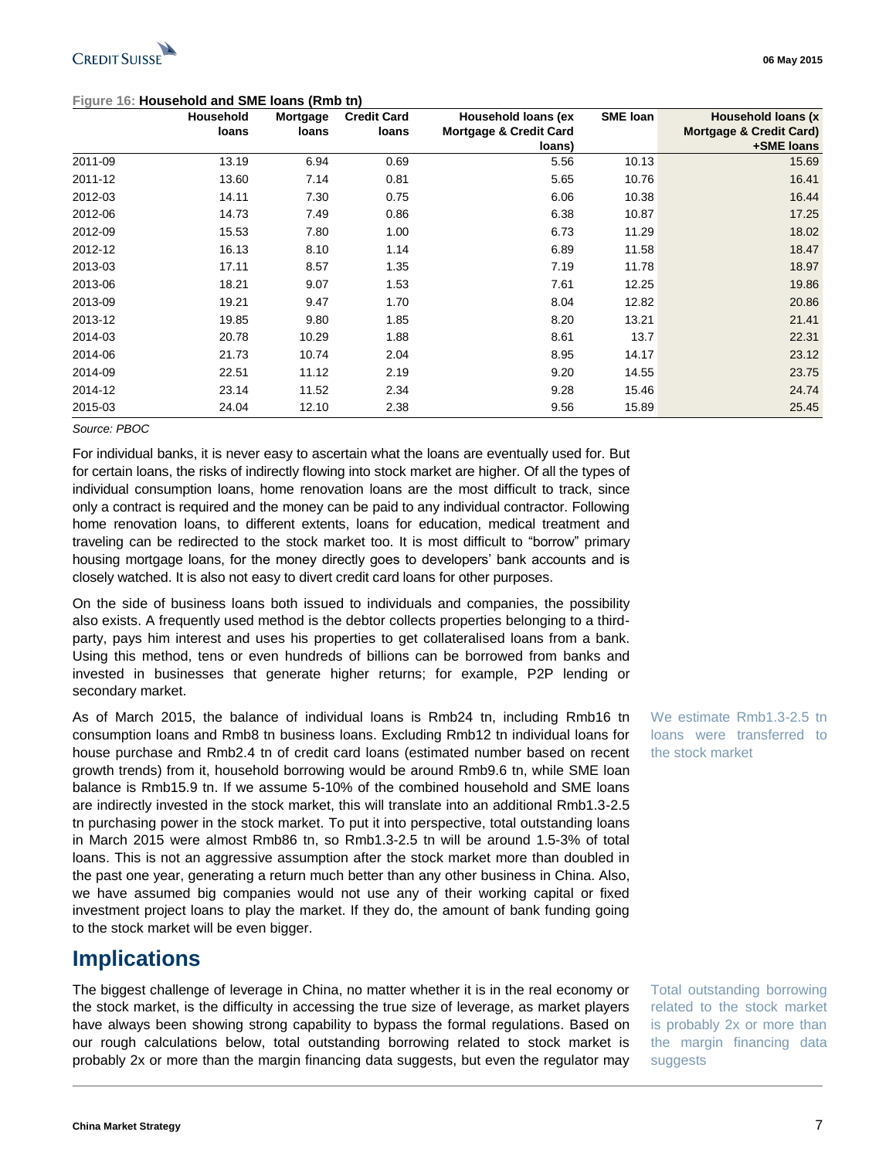### **Figure 16: Household and SME loans (Rmb tn)**

| 06 May |  |
|--------|--|
|        |  |

**06 May 2015**

|         | Household | Mortgage | <b>Credit Card</b> | Household loans (ex               | <b>SME loan</b> | Household loans (x)                |
|---------|-----------|----------|--------------------|-----------------------------------|-----------------|------------------------------------|
|         | loans     | loans    | loans              | <b>Mortgage &amp; Credit Card</b> |                 | <b>Mortgage &amp; Credit Card)</b> |
|         |           |          |                    | loans)                            |                 | +SME loans                         |
| 2011-09 | 13.19     | 6.94     | 0.69               | 5.56                              | 10.13           | 15.69                              |
| 2011-12 | 13.60     | 7.14     | 0.81               | 5.65                              | 10.76           | 16.41                              |
| 2012-03 | 14.11     | 7.30     | 0.75               | 6.06                              | 10.38           | 16.44                              |
| 2012-06 | 14.73     | 7.49     | 0.86               | 6.38                              | 10.87           | 17.25                              |
| 2012-09 | 15.53     | 7.80     | 1.00               | 6.73                              | 11.29           | 18.02                              |
| 2012-12 | 16.13     | 8.10     | 1.14               | 6.89                              | 11.58           | 18.47                              |
| 2013-03 | 17.11     | 8.57     | 1.35               | 7.19                              | 11.78           | 18.97                              |
| 2013-06 | 18.21     | 9.07     | 1.53               | 7.61                              | 12.25           | 19.86                              |
| 2013-09 | 19.21     | 9.47     | 1.70               | 8.04                              | 12.82           | 20.86                              |
| 2013-12 | 19.85     | 9.80     | 1.85               | 8.20                              | 13.21           | 21.41                              |
| 2014-03 | 20.78     | 10.29    | 1.88               | 8.61                              | 13.7            | 22.31                              |
| 2014-06 | 21.73     | 10.74    | 2.04               | 8.95                              | 14.17           | 23.12                              |
| 2014-09 | 22.51     | 11.12    | 2.19               | 9.20                              | 14.55           | 23.75                              |
| 2014-12 | 23.14     | 11.52    | 2.34               | 9.28                              | 15.46           | 24.74                              |
| 2015-03 | 24.04     | 12.10    | 2.38               | 9.56                              | 15.89           | 25.45                              |

#### *Source: PBOC*

For individual banks, it is never easy to ascertain what the loans are eventually used for. But for certain loans, the risks of indirectly flowing into stock market are higher. Of all the types of individual consumption loans, home renovation loans are the most difficult to track, since only a contract is required and the money can be paid to any individual contractor. Following home renovation loans, to different extents, loans for education, medical treatment and traveling can be redirected to the stock market too. It is most difficult to "borrow" primary housing mortgage loans, for the money directly goes to developers' bank accounts and is closely watched. It is also not easy to divert credit card loans for other purposes.

On the side of business loans both issued to individuals and companies, the possibility also exists. A frequently used method is the debtor collects properties belonging to a thirdparty, pays him interest and uses his properties to get collateralised loans from a bank. Using this method, tens or even hundreds of billions can be borrowed from banks and invested in businesses that generate higher returns; for example, P2P lending or secondary market.

As of March 2015, the balance of individual loans is Rmb24 tn, including Rmb16 tn consumption loans and Rmb8 tn business loans. Excluding Rmb12 tn individual loans for house purchase and Rmb2.4 tn of credit card loans (estimated number based on recent growth trends) from it, household borrowing would be around Rmb9.6 tn, while SME loan balance is Rmb15.9 tn. If we assume 5-10% of the combined household and SME loans are indirectly invested in the stock market, this will translate into an additional Rmb1.3-2.5 tn purchasing power in the stock market. To put it into perspective, total outstanding loans in March 2015 were almost Rmb86 tn, so Rmb1.3-2.5 tn will be around 1.5-3% of total loans. This is not an aggressive assumption after the stock market more than doubled in the past one year, generating a return much better than any other business in China. Also, we have assumed big companies would not use any of their working capital or fixed investment project loans to play the market. If they do, the amount of bank funding going to the stock market will be even bigger.

## **Implications**

The biggest challenge of leverage in China, no matter whether it is in the real economy or the stock market, is the difficulty in accessing the true size of leverage, as market players have always been showing strong capability to bypass the formal regulations. Based on our rough calculations below, total outstanding borrowing related to stock market is probably 2x or more than the margin financing data suggests, but even the regulator may

We estimate Rmb1.3-2.5 tn loans were transferred to the stock market

Total outstanding borrowing related to the stock market is probably 2x or more than the margin financing data suggests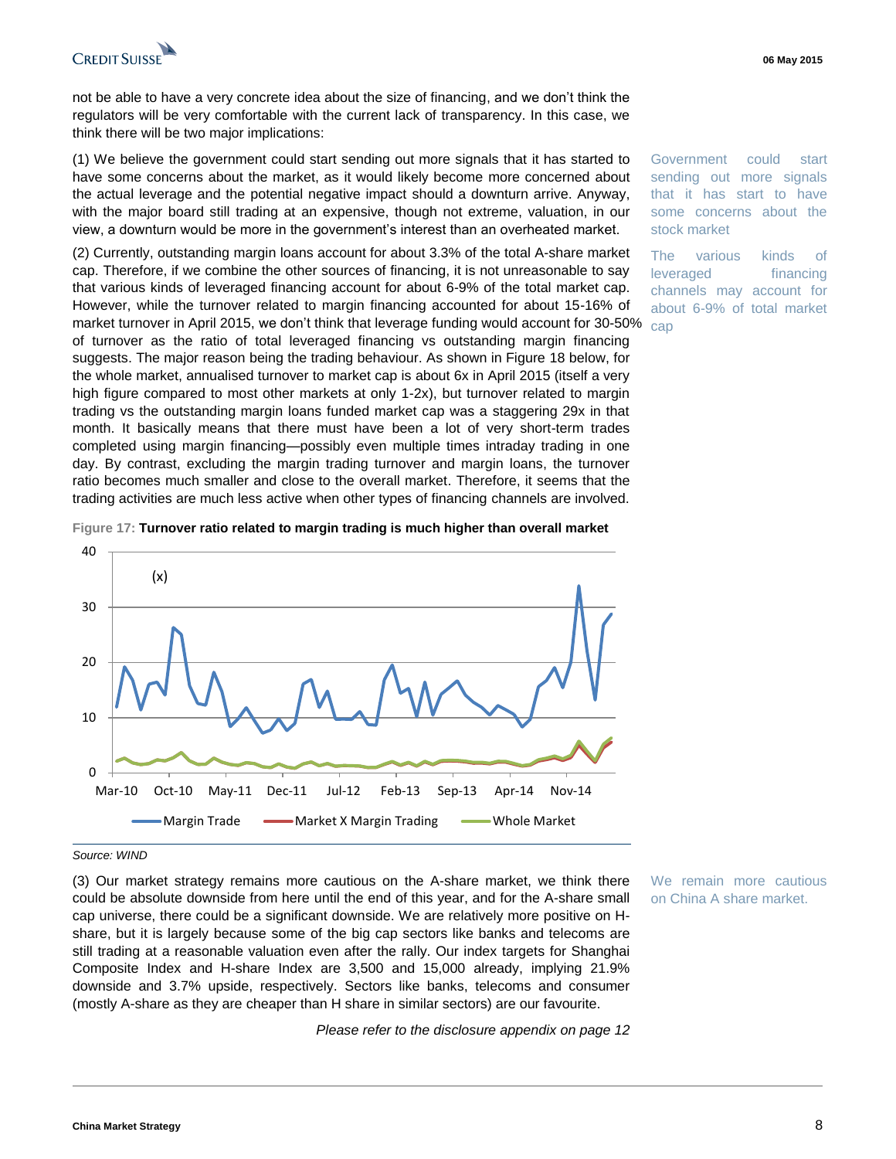

not be able to have a very concrete idea about the size of financing, and we don't think the regulators will be very comfortable with the current lack of transparency. In this case, we think there will be two major implications:

(1) We believe the government could start sending out more signals that it has started to have some concerns about the market, as it would likely become more concerned about the actual leverage and the potential negative impact should a downturn arrive. Anyway, with the major board still trading at an expensive, though not extreme, valuation, in our view, a downturn would be more in the government's interest than an overheated market.

(2) Currently, outstanding margin loans account for about 3.3% of the total A-share market cap. Therefore, if we combine the other sources of financing, it is not unreasonable to say that various kinds of leveraged financing account for about 6-9% of the total market cap. However, while the turnover related to margin financing accounted for about 15-16% of market turnover in April 2015, we don't think that leverage funding would account for 30-50% of turnover as the ratio of total leveraged financing vs outstanding margin financing suggests. The major reason being the trading behaviour. As shown in Figure 18 below, for the whole market, annualised turnover to market cap is about 6x in April 2015 (itself a very high figure compared to most other markets at only 1-2x), but turnover related to margin trading vs the outstanding margin loans funded market cap was a staggering 29x in that month. It basically means that there must have been a lot of very short-term trades completed using margin financing—possibly even multiple times intraday trading in one day. By contrast, excluding the margin trading turnover and margin loans, the turnover ratio becomes much smaller and close to the overall market. Therefore, it seems that the trading activities are much less active when other types of financing channels are involved.

Government could start sending out more signals that it has start to have some concerns about the stock market

The various kinds of leveraged financing channels may account for about 6-9% of total market cap



#### **Figure 17: Turnover ratio related to margin trading is much higher than overall market**

#### *Source: WIND*

(3) Our market strategy remains more cautious on the A-share market, we think there could be absolute downside from here until the end of this year, and for the A-share small cap universe, there could be a significant downside. We are relatively more positive on Hshare, but it is largely because some of the big cap sectors like banks and telecoms are still trading at a reasonable valuation even after the rally. Our index targets for Shanghai Composite Index and H-share Index are 3,500 and 15,000 already, implying 21.9% downside and 3.7% upside, respectively. Sectors like banks, telecoms and consumer (mostly A-share as they are cheaper than H share in similar sectors) are our favourite.

*Please refer to the disclosure appendix on page 12*

We remain more cautious on China A share market.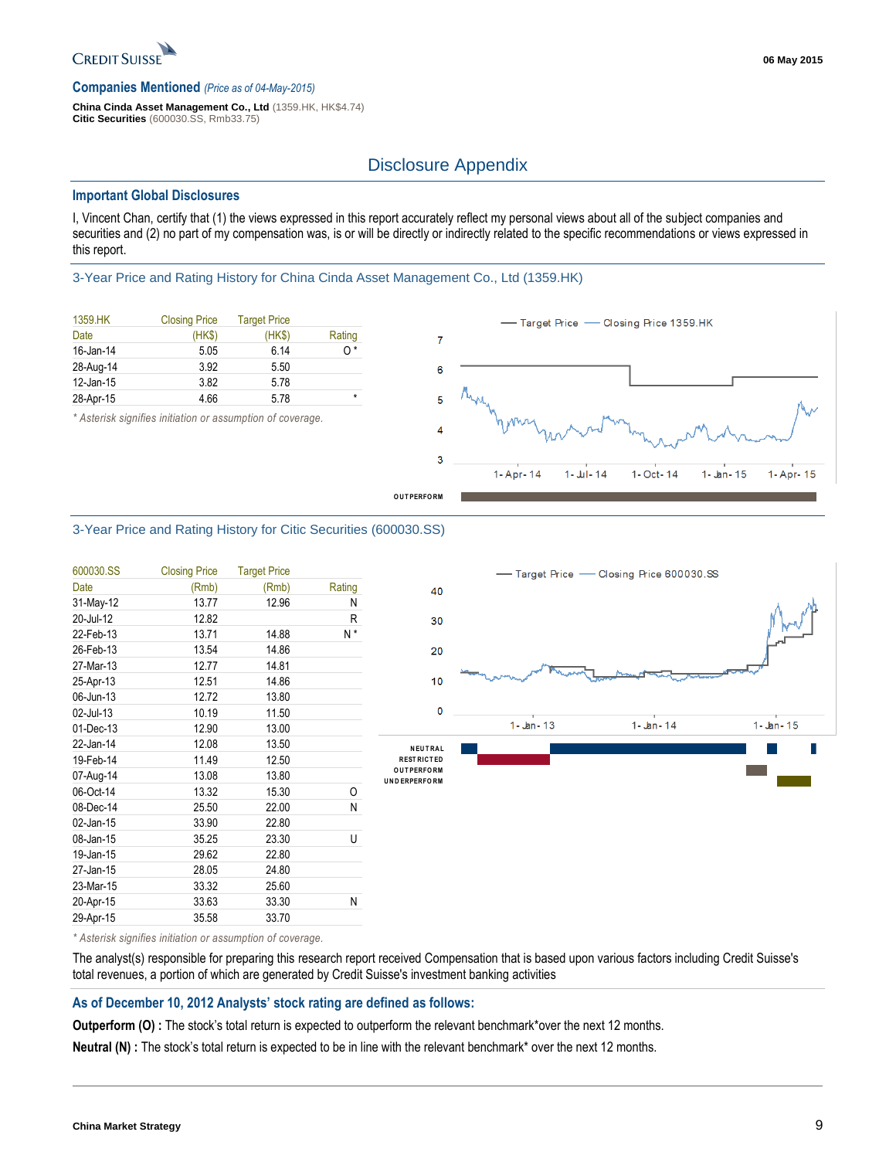

#### **Companies Mentioned** *(Price as of 04-May-2015)*

**China Cinda Asset Management Co., Ltd** (1359.HK, HK\$4.74) **Citic Securities** (600030.SS, Rmb33.75)

### Disclosure Appendix

#### **Important Global Disclosures**

I, Vincent Chan, certify that (1) the views expressed in this report accurately reflect my personal views about all of the subject companies and securities and (2) no part of my compensation was, is or will be directly or indirectly related to the specific recommendations or views expressed in this report.

3-Year Price and Rating History for China Cinda Asset Management Co., Ltd (1359.HK)

| 1359.HK   | <b>Closing Price</b> | <b>Target Price</b> |         |
|-----------|----------------------|---------------------|---------|
| Date      | (HKS)                | (HK\$)              | Rating  |
| 16-Jan-14 | 5.05                 | 6.14                | 0*      |
| 28-Aug-14 | 3.92                 | 5.50                |         |
| 12-Jan-15 | 3.82                 | 5.78                |         |
| 28-Apr-15 | 4.66                 | 5.78                | $\star$ |

*\* Asterisk signifies initiation or assumption of coverage.*



#### 3-Year Price and Rating History for Citic Securities (600030.SS)

| 600030.SS | <b>Closing Price</b> | <b>Target Price</b> |        |
|-----------|----------------------|---------------------|--------|
| Date      | (Rmb)                | (Rmb)               | Rating |
| 31-May-12 | 13.77                | 12.96               | N      |
| 20-Jul-12 | 12.82                |                     | R      |
| 22-Feb-13 | 13.71                | 14.88               | N*     |
| 26-Feb-13 | 13.54                | 14.86               |        |
| 27-Mar-13 | 12.77                | 14.81               |        |
| 25-Apr-13 | 12.51                | 14.86               |        |
| 06-Jun-13 | 12.72                | 13.80               |        |
| 02-Jul-13 | 10.19                | 11.50               |        |
| 01-Dec-13 | 12.90                | 13.00               |        |
| 22-Jan-14 | 12.08                | 13.50               |        |
| 19-Feb-14 | 11.49                | 12.50               |        |
| 07-Aug-14 | 13.08                | 13.80               | U      |
| 06-Oct-14 | 13.32                | 15.30               | 0      |
| 08-Dec-14 | 25.50                | 22.00               | Ν      |
| 02-Jan-15 | 33.90                | 22.80               |        |
| 08-Jan-15 | 35.25                | 23.30               | U      |
| 19-Jan-15 | 29.62                | 22.80               |        |
| 27-Jan-15 | 28.05                | 24.80               |        |
| 23-Mar-15 | 33.32                | 25.60               |        |
| 20-Apr-15 | 33.63                | 33.30               | N      |
| 29-Apr-15 | 35.58                | 33.70               |        |



*\* Asterisk signifies initiation or assumption of coverage.*

The analyst(s) responsible for preparing this research report received Compensation that is based upon various factors including Credit Suisse's total revenues, a portion of which are generated by Credit Suisse's investment banking activities

#### **As of December 10, 2012 Analysts' stock rating are defined as follows:**

**Outperform (O)** : The stock's total return is expected to outperform the relevant benchmark\*over the next 12 months.

**Neutral (N) :** The stock's total return is expected to be in line with the relevant benchmark\* over the next 12 months.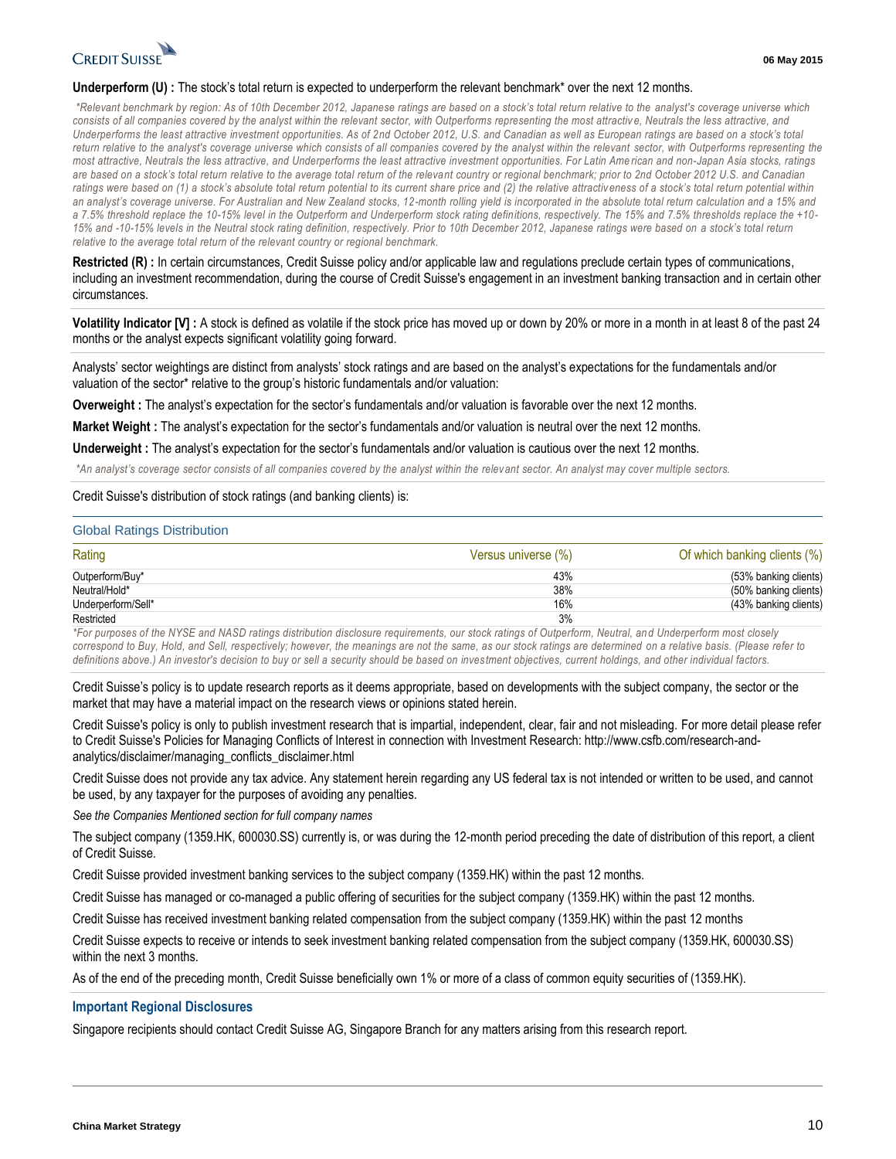

#### **Underperform (U)** : The stock's total return is expected to underperform the relevant benchmark\* over the next 12 months.

*\*Relevant benchmark by region: As of 10th December 2012, Japanese ratings are based on a stock's total return relative to the analyst's coverage universe which*  consists of all companies covered by the analyst within the relevant sector, with Outperforms representing the most attractive, Neutrals the less attractive, and *Underperforms the least attractive investment opportunities. As of 2nd October 2012, U.S. and Canadian as well as European ratings are based on a stock's total return relative to the analyst's coverage universe which consists of all companies covered by the analyst within the relevant sector, with Outperforms representing the most attractive, Neutrals the less attractive, and Underperforms the least attractive investment opportunities. For Latin Ame rican and non-Japan Asia stocks, ratings are based on a stock's total return relative to the average total return of the relevant country or regional benchmark; prior to 2nd October 2012 U.S. and Canadian ratings were based on (1) a stock's absolute total return potential to its current share price and (2) the relative attractiveness of a stock's total return potential within an analyst's coverage universe. For Australian and New Zealand stocks, 12-month rolling yield is incorporated in the absolute total return calculation and a 15% and a 7.5% threshold replace the 10-15% level in the Outperform and Underperform stock rating definitions, respectively. The 15% and 7.5% thresholds replace the +10-* 15% and -10-15% levels in the Neutral stock rating definition, respectively. Prior to 10th December 2012, Japanese ratings were based on a stock's total return *relative to the average total return of the relevant country or regional benchmark.*

**Restricted (R) :** In certain circumstances, Credit Suisse policy and/or applicable law and regulations preclude certain types of communications, including an investment recommendation, during the course of Credit Suisse's engagement in an investment banking transaction and in certain other circumstances.

**Volatility Indicator [V] :** A stock is defined as volatile if the stock price has moved up or down by 20% or more in a month in at least 8 of the past 24 months or the analyst expects significant volatility going forward.

Analysts' sector weightings are distinct from analysts' stock ratings and are based on the analyst's expectations for the fundamentals and/or valuation of the sector\* relative to the group's historic fundamentals and/or valuation:

**Overweight :** The analyst's expectation for the sector's fundamentals and/or valuation is favorable over the next 12 months.

**Market Weight :** The analyst's expectation for the sector's fundamentals and/or valuation is neutral over the next 12 months.

**Underweight :** The analyst's expectation for the sector's fundamentals and/or valuation is cautious over the next 12 months.

*\*An analyst's coverage sector consists of all companies covered by the analyst within the relevant sector. An analyst may cover multiple sectors.*

#### Credit Suisse's distribution of stock ratings (and banking clients) is:

#### Global Ratings Distribution

| Rating             | Versus universe (%) | Of which banking clients (%) |
|--------------------|---------------------|------------------------------|
| Outperform/Buy*    | 43%                 | (53% banking clients)        |
| Neutral/Hold*      | 38%                 | (50% banking clients)        |
| Underperform/Sell* | 16%                 | (43% banking clients)        |
| Restricted         | 3%                  |                              |

*\*For purposes of the NYSE and NASD ratings distribution disclosure requirements, our stock ratings of Outperform, Neutral, an d Underperform most closely correspond to Buy, Hold, and Sell, respectively; however, the meanings are not the same, as our stock ratings are determined on a relative basis. (Please refer to definitions above.) An investor's decision to buy or sell a security should be based on investment objectives, current holdings, and other individual factors.*

Credit Suisse's policy is to update research reports as it deems appropriate, based on developments with the subject company, the sector or the market that may have a material impact on the research views or opinions stated herein.

Credit Suisse's policy is only to publish investment research that is impartial, independent, clear, fair and not misleading. For more detail please refer to Credit Suisse's Policies for Managing Conflicts of Interest in connection with Investment Research: http://www.csfb.com/research-andanalytics/disclaimer/managing\_conflicts\_disclaimer.html

Credit Suisse does not provide any tax advice. Any statement herein regarding any US federal tax is not intended or written to be used, and cannot be used, by any taxpayer for the purposes of avoiding any penalties.

*See the Companies Mentioned section for full company names* 

The subject company (1359.HK, 600030.SS) currently is, or was during the 12-month period preceding the date of distribution of this report, a client of Credit Suisse.

Credit Suisse provided investment banking services to the subject company (1359.HK) within the past 12 months.

Credit Suisse has managed or co-managed a public offering of securities for the subject company (1359.HK) within the past 12 months.

Credit Suisse has received investment banking related compensation from the subject company (1359.HK) within the past 12 months

Credit Suisse expects to receive or intends to seek investment banking related compensation from the subject company (1359.HK, 600030.SS) within the next 3 months.

As of the end of the preceding month, Credit Suisse beneficially own 1% or more of a class of common equity securities of (1359.HK).

#### **Important Regional Disclosures**

Singapore recipients should contact Credit Suisse AG, Singapore Branch for any matters arising from this research report.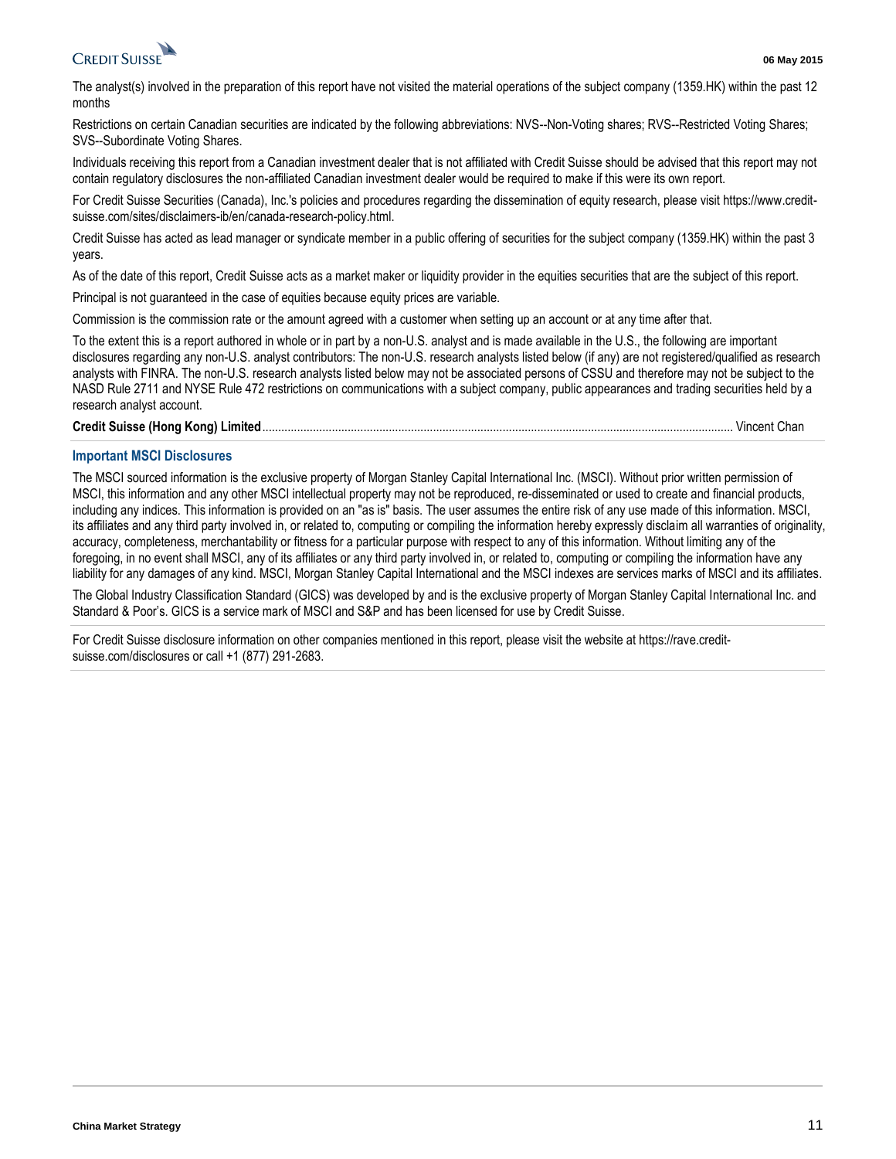

The analyst(s) involved in the preparation of this report have not visited the material operations of the subject company (1359.HK) within the past 12 months

Restrictions on certain Canadian securities are indicated by the following abbreviations: NVS--Non-Voting shares; RVS--Restricted Voting Shares; SVS--Subordinate Voting Shares.

Individuals receiving this report from a Canadian investment dealer that is not affiliated with Credit Suisse should be advised that this report may not contain regulatory disclosures the non-affiliated Canadian investment dealer would be required to make if this were its own report.

For Credit Suisse Securities (Canada), Inc.'s policies and procedures regarding the dissemination of equity research, please visit https://www.creditsuisse.com/sites/disclaimers-ib/en/canada-research-policy.html.

Credit Suisse has acted as lead manager or syndicate member in a public offering of securities for the subject company (1359.HK) within the past 3 years.

As of the date of this report, Credit Suisse acts as a market maker or liquidity provider in the equities securities that are the subject of this report.

Principal is not guaranteed in the case of equities because equity prices are variable.

Commission is the commission rate or the amount agreed with a customer when setting up an account or at any time after that.

To the extent this is a report authored in whole or in part by a non-U.S. analyst and is made available in the U.S., the following are important disclosures regarding any non-U.S. analyst contributors: The non-U.S. research analysts listed below (if any) are not registered/qualified as research analysts with FINRA. The non-U.S. research analysts listed below may not be associated persons of CSSU and therefore may not be subject to the NASD Rule 2711 and NYSE Rule 472 restrictions on communications with a subject company, public appearances and trading securities held by a research analyst account.

#### **Credit Suisse (Hong Kong) Limited**..................................................................................................................................................... Vincent Chan

#### **Important MSCI Disclosures**

The MSCI sourced information is the exclusive property of Morgan Stanley Capital International Inc. (MSCI). Without prior written permission of MSCI, this information and any other MSCI intellectual property may not be reproduced, re-disseminated or used to create and financial products, including any indices. This information is provided on an "as is" basis. The user assumes the entire risk of any use made of this information. MSCI, its affiliates and any third party involved in, or related to, computing or compiling the information hereby expressly disclaim all warranties of originality, accuracy, completeness, merchantability or fitness for a particular purpose with respect to any of this information. Without limiting any of the foregoing, in no event shall MSCI, any of its affiliates or any third party involved in, or related to, computing or compiling the information have any liability for any damages of any kind. MSCI, Morgan Stanley Capital International and the MSCI indexes are services marks of MSCI and its affiliates.

The Global Industry Classification Standard (GICS) was developed by and is the exclusive property of Morgan Stanley Capital International Inc. and Standard & Poor's. GICS is a service mark of MSCI and S&P and has been licensed for use by Credit Suisse.

For Credit Suisse disclosure information on other companies mentioned in this report, please visit the website at https://rave.creditsuisse.com/disclosures or call +1 (877) 291-2683.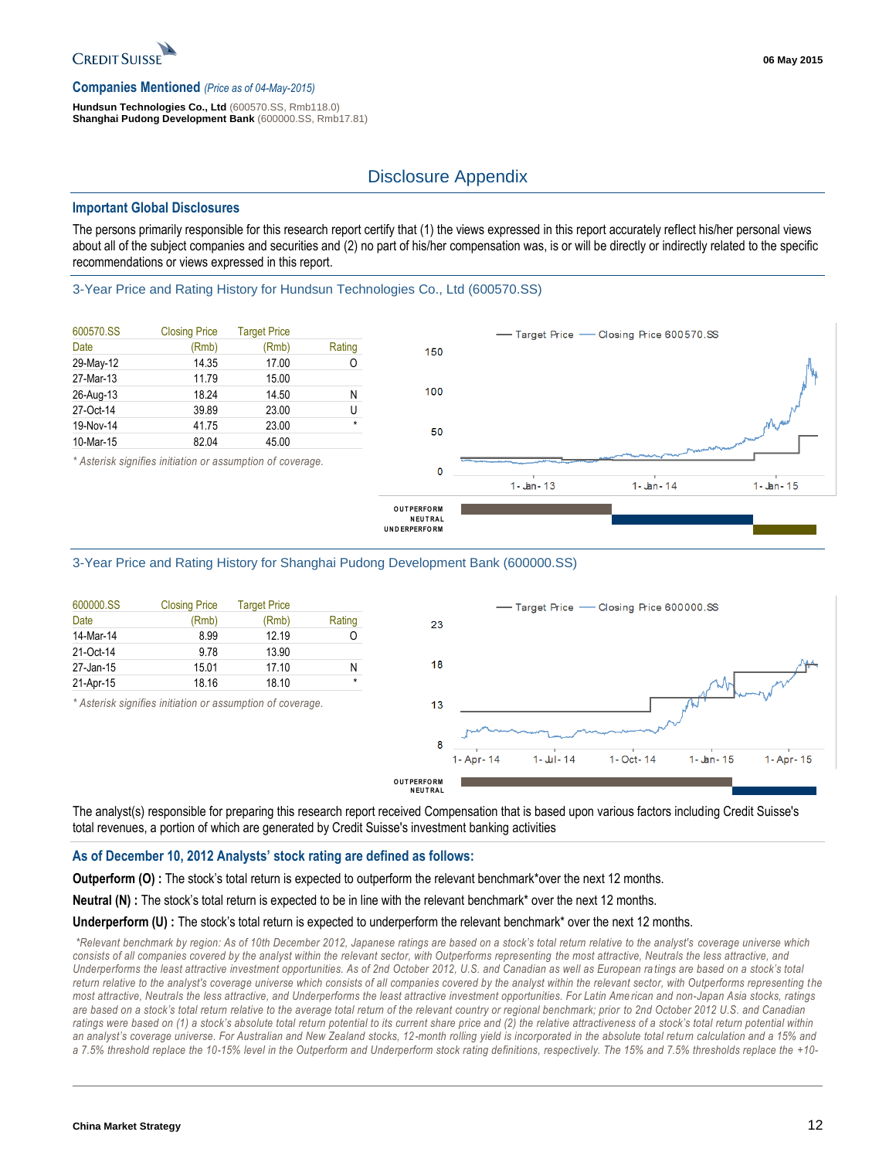

#### **Companies Mentioned** *(Price as of 04-May-2015)*

**Hundsun Technologies Co., Ltd** (600570.SS, Rmb118.0) **Shanghai Pudong Development Bank** (600000.SS, Rmb17.81)

### Disclosure Appendix

#### **Important Global Disclosures**

The persons primarily responsible for this research report certify that (1) the views expressed in this report accurately reflect his/her personal views about all of the subject companies and securities and (2) no part of his/her compensation was, is or will be directly or indirectly related to the specific recommendations or views expressed in this report.

#### 3-Year Price and Rating History for Hundsun Technologies Co., Ltd (600570.SS)

| 600570.SS | <b>Closing Price</b> | <b>Target Price</b> |         |
|-----------|----------------------|---------------------|---------|
| Date      | (Rmb)                | (Rmb)               | Rating  |
| 29-May-12 | 14.35                | 17.00               | ი       |
| 27-Mar-13 | 11.79                | 15.00               |         |
| 26-Aug-13 | 18.24                | 14.50               | Ν       |
| 27-Oct-14 | 39.89                | 23.00               | U       |
| 19-Nov-14 | 41.75                | 23.00               | $\star$ |
| 10-Mar-15 | 82.04                | 45.00               |         |



#### *\* Asterisk signifies initiation or assumption of coverage.*

#### 3-Year Price and Rating History for Shanghai Pudong Development Bank (600000.SS)

| 600000.SS | <b>Closing Price</b> | <b>Target Price</b> |         |
|-----------|----------------------|---------------------|---------|
| Date      | (Rmb)                | (Rmb)               | Rating  |
| 14-Mar-14 | 8.99                 | 12.19               |         |
| 21-Oct-14 | 9.78                 | 13.90               |         |
| 27-Jan-15 | 15.01                | 17.10               | Ν       |
| 21-Apr-15 | 18.16                | 18.10               | $\star$ |

*\* Asterisk signifies initiation or assumption of coverage.*



Closing Price 600000.SS

Target Price -

The analyst(s) responsible for preparing this research report received Compensation that is based upon various factors including Credit Suisse's total revenues, a portion of which are generated by Credit Suisse's investment banking activities

#### **As of December 10, 2012 Analysts' stock rating are defined as follows:**

**Outperform (O) :** The stock's total return is expected to outperform the relevant benchmark\*over the next 12 months.

**Neutral (N) :** The stock's total return is expected to be in line with the relevant benchmark\* over the next 12 months.

#### **Underperform (U) :** The stock's total return is expected to underperform the relevant benchmark\* over the next 12 months.

*\*Relevant benchmark by region: As of 10th December 2012, Japanese ratings are based on a stock's total return relative to the analyst's coverage universe which*  consists of all companies covered by the analyst within the relevant sector, with Outperforms representing the most attractive, Neutrals the less attractive, and *Underperforms the least attractive investment opportunities. As of 2nd October 2012, U.S. and Canadian as well as European ra tings are based on a stock's total*  return relative to the analyst's coverage universe which consists of all companies covered by the analyst within the relevant sector, with Outperforms representing the *most attractive, Neutrals the less attractive, and Underperforms the least attractive investment opportunities. For Latin Ame rican and non-Japan Asia stocks, ratings are based on a stock's total return relative to the average total return of the relevant country or regional benchmark; prior to 2nd October 2012 U.S. and Canadian*  ratings were based on (1) a stock's absolute total return potential to its current share price and (2) the relative attractiveness of a stock's total return potential within *an analyst's coverage universe. For Australian and New Zealand stocks, 12-month rolling yield is incorporated in the absolute total return calculation and a 15% and a 7.5% threshold replace the 10-15% level in the Outperform and Underperform stock rating definitions, respectively. The 15% and 7.5% thresholds replace the +10-*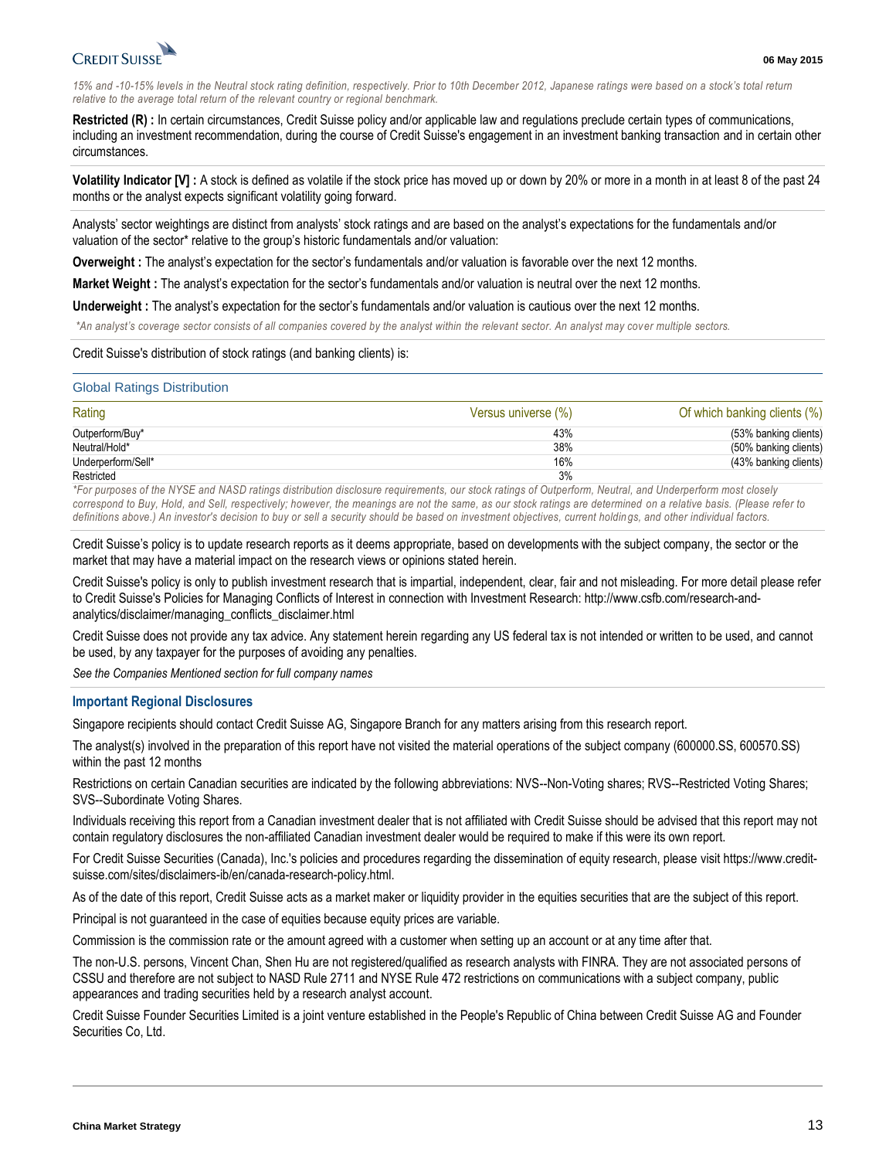

*15% and -10-15% levels in the Neutral stock rating definition, respectively. Prior to 10th December 2012, Japanese ratings were based on a stock's total return relative to the average total return of the relevant country or regional benchmark.*

**Restricted (R) :** In certain circumstances, Credit Suisse policy and/or applicable law and regulations preclude certain types of communications, including an investment recommendation, during the course of Credit Suisse's engagement in an investment banking transaction and in certain other circumstances.

**Volatility Indicator [V] :** A stock is defined as volatile if the stock price has moved up or down by 20% or more in a month in at least 8 of the past 24 months or the analyst expects significant volatility going forward.

Analysts' sector weightings are distinct from analysts' stock ratings and are based on the analyst's expectations for the fundamentals and/or valuation of the sector\* relative to the group's historic fundamentals and/or valuation:

**Overweight :** The analyst's expectation for the sector's fundamentals and/or valuation is favorable over the next 12 months.

**Market Weight :** The analyst's expectation for the sector's fundamentals and/or valuation is neutral over the next 12 months.

**Underweight :** The analyst's expectation for the sector's fundamentals and/or valuation is cautious over the next 12 months.

*\*An analyst's coverage sector consists of all companies covered by the analyst within the relevant sector. An analyst may cover multiple sectors.*

#### Credit Suisse's distribution of stock ratings (and banking clients) is:

#### Global Ratings Distribution

| Rating             | Versus universe (%) | Of which banking clients (%) |
|--------------------|---------------------|------------------------------|
| Outperform/Buy*    | 43%                 | (53% banking clients)        |
| Neutral/Hold*      | 38%                 | (50% banking clients)        |
| Underperform/Sell* | 16%                 | (43% banking clients)        |
| Restricted         | 3%                  |                              |

*\*For purposes of the NYSE and NASD ratings distribution disclosure requirements, our stock ratings of Outperform, Neutral, and Underperform most closely correspond to Buy, Hold, and Sell, respectively; however, the meanings are not the same, as our stock ratings are determined on a relative basis. (Please refer to*  definitions above.) An investor's decision to buy or sell a security should be based on investment objectives, current holdings, and other individual factors.

Credit Suisse's policy is to update research reports as it deems appropriate, based on developments with the subject company, the sector or the market that may have a material impact on the research views or opinions stated herein.

Credit Suisse's policy is only to publish investment research that is impartial, independent, clear, fair and not misleading. For more detail please refer to Credit Suisse's Policies for Managing Conflicts of Interest in connection with Investment Research: http://www.csfb.com/research-andanalytics/disclaimer/managing\_conflicts\_disclaimer.html

Credit Suisse does not provide any tax advice. Any statement herein regarding any US federal tax is not intended or written to be used, and cannot be used, by any taxpayer for the purposes of avoiding any penalties.

*See the Companies Mentioned section for full company names* 

#### **Important Regional Disclosures**

Singapore recipients should contact Credit Suisse AG, Singapore Branch for any matters arising from this research report.

The analyst(s) involved in the preparation of this report have not visited the material operations of the subject company (600000.SS, 600570.SS) within the past 12 months

Restrictions on certain Canadian securities are indicated by the following abbreviations: NVS--Non-Voting shares; RVS--Restricted Voting Shares; SVS--Subordinate Voting Shares.

Individuals receiving this report from a Canadian investment dealer that is not affiliated with Credit Suisse should be advised that this report may not contain regulatory disclosures the non-affiliated Canadian investment dealer would be required to make if this were its own report.

For Credit Suisse Securities (Canada), Inc.'s policies and procedures regarding the dissemination of equity research, please visit https://www.creditsuisse.com/sites/disclaimers-ib/en/canada-research-policy.html.

As of the date of this report, Credit Suisse acts as a market maker or liquidity provider in the equities securities that are the subject of this report.

Principal is not guaranteed in the case of equities because equity prices are variable.

Commission is the commission rate or the amount agreed with a customer when setting up an account or at any time after that.

The non-U.S. persons, Vincent Chan, Shen Hu are not registered/qualified as research analysts with FINRA. They are not associated persons of CSSU and therefore are not subject to NASD Rule 2711 and NYSE Rule 472 restrictions on communications with a subject company, public appearances and trading securities held by a research analyst account.

Credit Suisse Founder Securities Limited is a joint venture established in the People's Republic of China between Credit Suisse AG and Founder Securities Co, Ltd.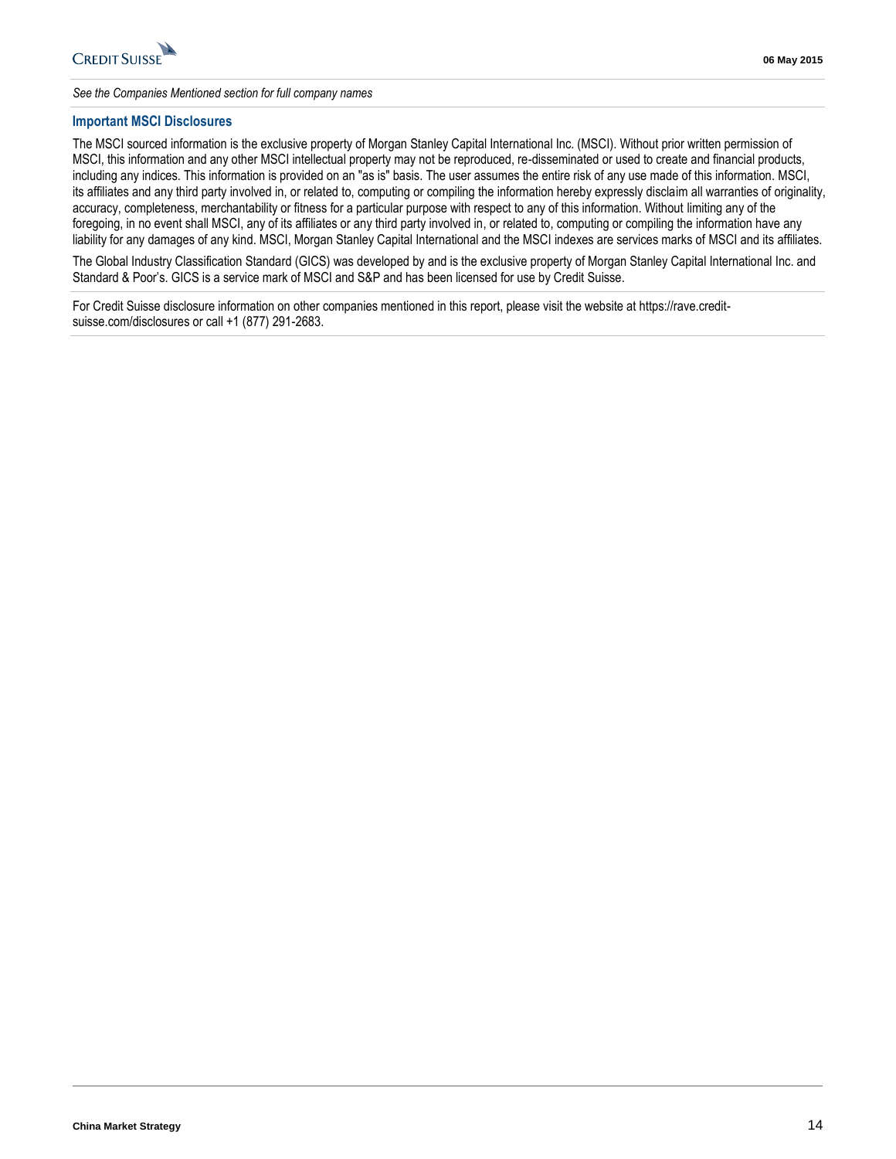

*See the Companies Mentioned section for full company names* 

#### **Important MSCI Disclosures**

The MSCI sourced information is the exclusive property of Morgan Stanley Capital International Inc. (MSCI). Without prior written permission of MSCI, this information and any other MSCI intellectual property may not be reproduced, re-disseminated or used to create and financial products, including any indices. This information is provided on an "as is" basis. The user assumes the entire risk of any use made of this information. MSCI, its affiliates and any third party involved in, or related to, computing or compiling the information hereby expressly disclaim all warranties of originality, accuracy, completeness, merchantability or fitness for a particular purpose with respect to any of this information. Without limiting any of the foregoing, in no event shall MSCI, any of its affiliates or any third party involved in, or related to, computing or compiling the information have any liability for any damages of any kind. MSCI, Morgan Stanley Capital International and the MSCI indexes are services marks of MSCI and its affiliates.

The Global Industry Classification Standard (GICS) was developed by and is the exclusive property of Morgan Stanley Capital International Inc. and Standard & Poor's. GICS is a service mark of MSCI and S&P and has been licensed for use by Credit Suisse.

For Credit Suisse disclosure information on other companies mentioned in this report, please visit the website at https://rave.creditsuisse.com/disclosures or call +1 (877) 291-2683.